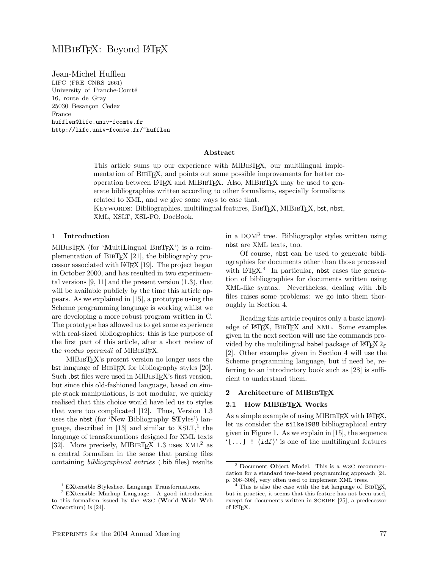# MIBIBTFX: Beyond LATFX

Jean-Michel Hufflen LIFC (FRE CNRS 2661) University of Franche-Comté 16, route de Gray 25030 Besançon Cedex France hufflen@lifc.univ-fcomte.fr http://lifc.univ-fcomte.fr/~hufflen

#### Abstract

This article sums up our experience with MIBIBTEX, our multilingual implementation of BIBT<sub>EX</sub>, and points out some possible improvements for better cooperation between LAT<sub>EX</sub> and MIBIBTEX. Also, MIBIBTEX may be used to generate bibliographies written according to other formalisms, especially formalisms related to XML, and we give some ways to ease that.

KEYWORDS: Bibliographies, multilingual features, BIBTFX, MIBIBTFX, bst, nbst, XML, XSLT, XSL-FO, DocBook.

#### 1 Introduction

MIBIBTEX (for 'MultiLingual BIBTEX') is a reimplementation of BibTEX [21], the bibliography processor associated with LATEX [19]. The project began in October 2000, and has resulted in two experimental versions [9, 11] and the present version (1.3), that will be available publicly by the time this article appears. As we explained in [15], a prototype using the Scheme programming language is working whilst we are developing a more robust program written in C. The prototype has allowed us to get some experience with real-sized bibliographies: this is the purpose of the first part of this article, after a short review of the *modus operandi* of MIBIBT<sub>F</sub>X.

MlBibTEX's present version no longer uses the bst language of BIBTEX for bibliography styles [20]. Such .bst files were used in MIBIBT<sub>EX</sub>'s first version, but since this old-fashioned language, based on simple stack manipulations, is not modular, we quickly realised that this choice would have led us to styles that were too complicated [12]. Thus, Version 1.3 uses the nbst (for 'New Bibliography STyles') language, described in [13] and similar to XSLT, 1 the language of transformations designed for XML texts [32]. More precisely, MIBIBTEX 1.3 uses  $XML<sup>2</sup>$  as a central formalism in the sense that parsing files containing bibliographical entries (.bib files) results

in a DOM<sup>3</sup> tree. Bibliography styles written using nbst are XML texts, too.

Of course, nbst can be used to generate bibliographies for documents other than those processed with LAT<sub>E</sub>X.<sup>4</sup> In particular, nbst eases the generation of bibliographies for documents written using XML-like syntax. Nevertheless, dealing with .bib files raises some problems: we go into them thoroughly in Section 4.

Reading this article requires only a basic knowledge of L<sup>AT</sup>EX, BIBTEX and XML. Some examples given in the next section will use the commands provided by the multilingual babel package of LATEX  $2\varepsilon$ [2]. Other examples given in Section 4 will use the Scheme programming language, but if need be, referring to an introductory book such as [28] is sufficient to understand them.

#### 2 Architecture of MIBIBTFX

#### 2.1 How MIBIBTFX Works

As a simple example of using MIBIBTFX with LATFX, let us consider the silke1988 bibliographical entry given in Figure 1. As we explain in [15], the sequence '[...] !  $\langle idf \rangle'$  is one of the multilingual features

 $^1$  EXtensible Stylesheet Language Transformations.

<sup>2</sup> EXtensible Markup Language. A good introduction to this formalism issued by the W3C (World Wide Web Consortium) is [24].

<sup>3</sup> Document Object Model. This is a W3C recommendation for a standard tree-based programming approach [24, p. 306–308], very often used to implement XML trees.

<sup>&</sup>lt;sup>4</sup> This is also the case with the bst language of BIBTEX, but in practice, it seems that this feature has not been used, except for documents written in SCRIBE [25], a predecessor of LATEX.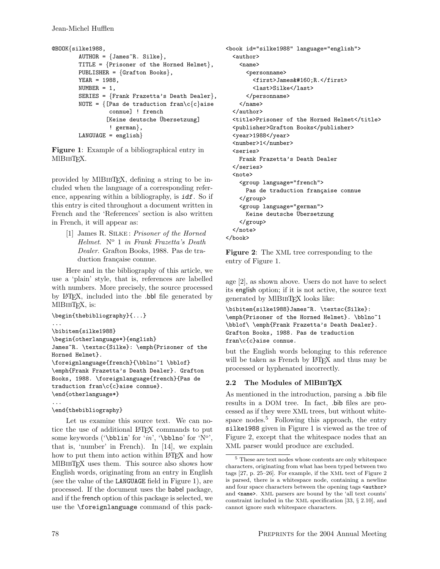```
@BOOK{silke1988,
        AUTHOR = {James<sup>~</sup>R. Silke},TITLE = {Prisoner of the Horned Helmet},PUBLISHER = \{Gradient on Books\},
        YEAR = 1988,
        NUMBER = 1,
        SERIES = {Frank Frazetta's Death Dealer},
        NOTE = \{[Pas de traduction fran\c{c}aise
                  connue] ! french
                 [Keine deutsche Übersetzung]
                  ! german},
        LANGUAGE = english
```
Figure 1: Example of a bibliographical entry in MIBIBT<sub>F</sub>X.

provided by MIBIBT<sub>F</sub>X, defining a string to be included when the language of a corresponding reference, appearing within a bibliography, is idf. So if this entry is cited throughout a document written in French and the 'References' section is also written in French, it will appear as:

[1] James R. SILKE: Prisoner of the Horned Helmet. N° 1 in Frank Frazetta's Death Dealer. Grafton Books, 1988. Pas de traduction française connue.

Here and in the bibliography of this article, we use a 'plain' style, that is, references are labelled with numbers. More precisely, the source processed by LATEX, included into the .bbl file generated by MlBIBT<sub>F</sub>X, is:

```
\begin{thebibliography}{...}
...
\bibitem{silke1988}
\begin{otherlanguage*}{english}
James~R. \textsc{Silke}: \emph{Prisoner of the
Horned Helmet}.
\foreignlanguage{french}{\bblno~1 \bblof}
\emph{Frank Frazetta's Death Dealer}. Grafton
Books, 1988. \foreignlanguage{french}{Pas de
traduction fran\c{c}aise connue}.
\end{otherlanguage*}
...
```
## \end{thebibliography}

Let us examine this source text. We can notice the use of additional LATEX commands to put some keywords ('\bblin' for ' $in'$ , '\bblno' for 'N°', that is, 'number' in French). In [14], we explain how to put them into action within LAT<sub>EX</sub> and how MIBIBTEX uses them. This source also shows how English words, originating from an entry in English (see the value of the LANGUAGE field in Figure 1), are processed. If the document uses the babel package, and if the french option of this package is selected, we use the \foreignlanguage command of this pack-

```
<book id="silke1988" language="english">
  <author>
    <name><personname>
        <first>James&#160;R.</first>
        <last>Silke</last>
      </personname>
   </name>
  </author>
  <title>Prisoner of the Horned Helmet</title>
  <publisher>Grafton Books</publisher>
  <year>1988</year>
  <number>1</number>
  <series>
   Frank Frazetta's Death Dealer
  </series>
  <note>
    <group language="french">
     Pas de traduction française connue
   </group>
   <group language="german">
     Keine deutsche Übersetzung
   </group>
 </note>
</book>
```
Figure 2: The XML tree corresponding to the entry of Figure 1.

age [2], as shown above. Users do not have to select its english option; if it is not active, the source text generated by MlBibTEX looks like:

```
\bibitem{silke1988}James~R. \textsc{Silke}:
\emph{Prisoner of the Horned Helmet}. \bblno~1
\bblof\ \emph{Frank Frazetta's Death Dealer}.
Grafton Books, 1988. Pas de traduction
fran\c{c}aise connue.
```
but the English words belonging to this reference will be taken as French by LAT<sub>EX</sub> and thus may be processed or hyphenated incorrectly.

## 2.2 The Modules of MIBIBTFX

As mentioned in the introduction, parsing a .bib file results in a DOM tree. In fact, .bib files are processed as if they were XML trees, but without whitespace nodes.<sup>5</sup> Following this approach, the entry silke1988 given in Figure 1 is viewed as the tree of Figure 2, except that the whitespace nodes that an XML parser would produce are excluded.

<sup>5</sup> These are text nodes whose contents are only whitespace characters, originating from what has been typed between two tags [27, p. 25–26]. For example, if the XML text of Figure 2 is parsed, there is a whitespace node, containing a newline and four space characters between the opening tags <author> and <name>. XML parsers are bound by the 'all text counts' constraint included in the XML specification [33, § 2.10], and cannot ignore such whitespace characters.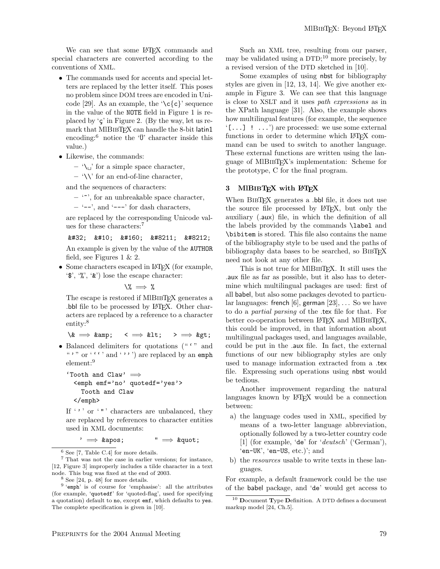We can see that some LAT<sub>EX</sub> commands and special characters are converted according to the conventions of XML.

- The commands used for accents and special letters are replaced by the letter itself. This poses no problem since DOM trees are encoded in Unicode [29]. As an example, the  $\csc(c)$  sequence in the value of the NOTE field in Figure 1 is replaced by  $\zeta$  in Figure 2. (By the way, let us remark that MIBIBTEX can handle the 8-bit latin1 encoding: $\delta$  notice the ' $\ddot{\theta}$ ' character inside this value.)
- Likewise, the commands:
	- $-\sqrt{\phantom{a}}$  for a simple space character,
	- $-$  '\\' for an end-of-line character,

and the sequences of characters:

 $-$  ' $\sim$ ', for an unbreakable space character,

 $-$  '--', and '---' for dash characters,

are replaced by the corresponding Unicode values for these characters:<sup>7</sup>

 $&\#32;$   $&\#10;$   $&\#160;$   $&\#8211;$   $&\#8212;$ 

An example is given by the value of the AUTHOR field, see Figures 1 & 2.

• Some characters escaped in L<sup>AT</sup>FX (for example, '\$', '%', '&') lose the escape character:

\% =⇒ %

The escape is restored if MIBIBTFX generates a .bbl file to be processed by LATEX. Other characters are replaced by a reference to a character entity:<sup>8</sup>

 $\lambda \& \implies \& \text{amp}; \quad \langle \implies \& \text{lt}; \quad \rangle \implies \& \text{gt};$ 

• Balanced delimiters for quotations (" $'$ " and ", " or  $($ ,  $($ ,  $)$  and  $($ ,  $)$ ,  $)$  are replaced by an emph element:<sup>9</sup>

```
'Tooth and Claw' \implies<emph emf='no' quotedf='yes'>
   Tooth and Claw
 </emph>
```
If  $\langle \cdot, \cdot \rangle$  or  $\langle \cdot, \cdot \rangle$  characters are unbalanced, they are replaced by references to character entities used in XML documents:

 $\rightarrow$  & apos;  $\rightarrow$  & quot;

<sup>8</sup> See [24, p. 48] for more details.

Such an XML tree, resulting from our parser, may be validated using a DTD; <sup>10</sup> more precisely, by a revised version of the DTD sketched in [10].

Some examples of using nbst for bibliography styles are given in [12, 13, 14]. We give another example in Figure 3. We can see that this language is close to XSLT and it uses path expressions as in the XPath language [31]. Also, the example shows how multilingual features (for example, the sequence  $\lbrack$ ...]  $\lbrack$  ...') are processed: we use some external functions in order to determine which LAT<sub>EX</sub> command can be used to switch to another language. These external functions are written using the language of MlBibTEX's implementation: Scheme for the prototype, C for the final program.

#### 3 MIBIBTEX with LATEX

When BIBT<sub>F</sub>X generates a .bbl file, it does not use the source file processed by LATEX, but only the auxiliary (.aux) file, in which the definition of all the labels provided by the commands \label and \bibitem is stored. This file also contains the name of the bibliography style to be used and the paths of bibliography data bases to be searched, so BIBT<sub>EX</sub> need not look at any other file.

This is not true for MIBIBTEX. It still uses the .aux file as far as possible, but it also has to determine which multilingual packages are used: first of all babel, but also some packages devoted to particular languages: french [6], german  $[23]$ , ... So we have to do a partial parsing of the .tex file for that. For better co-operation between LAT<sub>F</sub>X and MIBIBT<sub>F</sub>X, this could be improved, in that information about multilingual packages used, and languages available, could be put in the .aux file. In fact, the external functions of our new bibliography styles are only used to manage information extracted from a .tex file. Expressing such operations using nbst would be tedious.

Another improvement regarding the natural languages known by L<sup>AT</sup>EX would be a connection between:

- a) the language codes used in XML, specified by means of a two-letter language abbreviation, optionally followed by a two-letter country code [1] (for example, 'de' for 'deutsch' ('German'), 'en-UK', 'en-US, etc.)'; and
- b) the resources usable to write texts in these languages.

For example, a default framework could be the use of the babel package, and 'de' would get access to

 $^6$  See [7, Table C.4] for more details.

<sup>7</sup> That was not the case in earlier versions; for instance, [12, Figure 3] improperly includes a tilde character in a text node. This bug was fixed at the end of 2003.

<sup>&</sup>lt;sup>9</sup> 'emph' is of course for 'emphasise': all the attributes (for example, 'quotedf' for 'quoted-flag', used for specifying a quotation) default to no, except emf, which defaults to yes. The complete specification is given in [10].

 $^{10}$  Document Type Definition. A DTD defines a document markup model [24, Ch.5].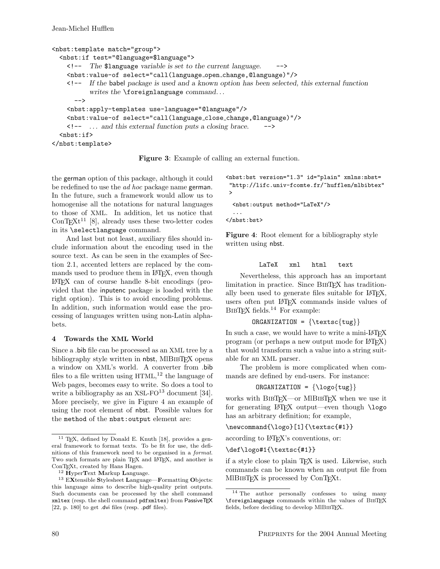```
<nbst:template match="group">
  <nbst:if test="@language=$language">
    \langle -- The $1 anguage variable is set to the current language.
    <nbst:value-of select="call(language open change,@language)"/>
    <!-- If the babel package is used and a known option has been selected, this external function
           writes the \foreignlanguage command...
      -->
    <nbst:apply-templates use-language="@language"/>
    <nbst:value-of select="call(language close change,@language)"/>
    <!-- . . . and this external function puts a closing brace. -->
  <sub>nbst:if></sub></sub>
</nbst:template>
```
Figure 3: Example of calling an external function.

the german option of this package, although it could be redefined to use the *ad hoc* package name german. In the future, such a framework would allow us to homogenise all the notations for natural languages to those of XML. In addition, let us notice that  $\text{ConT} \times L^{11}$  [8], already uses these two-letter codes in its \selectlanguage command.

And last but not least, auxiliary files should include information about the encoding used in the source text. As can be seen in the examples of Section 2.1, accented letters are replaced by the commands used to produce them in L<sup>AT</sup>FX, even though LATEX can of course handle 8-bit encodings (provided that the inputenc package is loaded with the right option). This is to avoid encoding problems. In addition, such information would ease the processing of languages written using non-Latin alphabets.

## 4 Towards the XML World

Since a .bib file can be processed as an XML tree by a bibliography style written in nbst, MlBIBTEX opens a window on XML's world. A converter from .bib files to a file written using HTML, <sup>12</sup> the language of Web pages, becomes easy to write. So does a tool to write a bibliography as an XSL-FO $^{13}$  document [34]. More precisely, we give in Figure 4 an example of using the root element of nbst. Possible values for the method of the nbst:output element are:

```
<nbst:bst version="1.3" id="plain" xmlns:nbst=
"http://lifc.univ-fcomte.fr/~hufflen/mlbibtex"
>
```

```
<nbst:output method="LaTeX"/>
```

```
</nbst:bst>
```
...

Figure 4: Root element for a bibliography style written using nbst.

## LaTeX xml html text

Nevertheless, this approach has an important limitation in practice. Since BIBTFX has traditionally been used to generate files suitable for L<sup>AT</sup>FX, users often put LATEX commands inside values of  $BIBTFX$  fields.<sup>14</sup> For example:

```
ORGANIZATION = {\text{tug}}
```
In such a case, we would have to write a mini-LAT<sub>EX</sub> program (or perhaps a new output mode for LATEX) that would transform such a value into a string suitable for an XML parser.

The problem is more complicated when commands are defined by end-users. For instance:

$$
ORGANIZATION = {\\log of tug\}}
$$

works with BIBTEX—or MIBIBTEX when we use it for generating L<sup>AT</sup>EX output—even though \logo has an arbitrary definition; for example,

\newcommand{\logo}[1]{\textsc{#1}}

according to L<sup>AT</sup>FX's conventions, or:

```
\def\logo#1{\textsc{#1}}
```
if a style close to plain T<sub>E</sub>X is used. Likewise, such commands can be known when an output file from MlBibTEX is processed by ConTEXt.

 $11$  T<sub>E</sub>X, defined by Donald E. Knuth [18], provides a general framework to format texts. To be fit for use, the definitions of this framework need to be organised in a format. Two such formats are plain TFX and LATFX, and another is ConTEXt, created by Hans Hagen.

 $12$  HyperText Markup Language.

 $13$  EXtensible Stylesheet Language—Formatting Objects: this language aims to describe high-quality print outputs. Such documents can be processed by the shell command xmltex (resp. the shell command pdfxmltex) from PassiveTEX [22, p. 180] to get .dvi files (resp. .pdf files).

<sup>14</sup> The author personally confesses to using many \foreignlanguage commands within the values of BibTEX fields, before deciding to develop MIBIBT<sub>E</sub>X.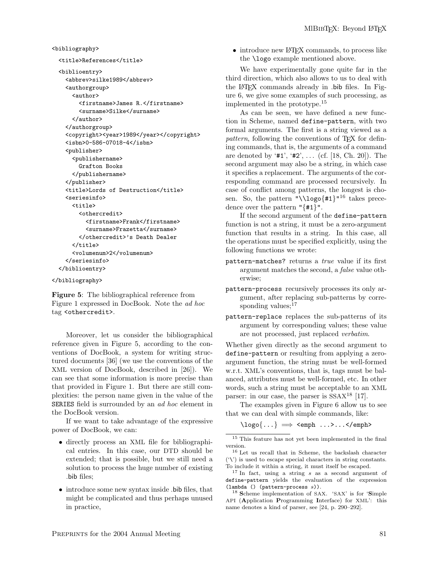<bibliography>

```
<title>References</title>
```

```
<biblioentry>
  <abbrev>silke1989</abbrev>
```

```
<authorgroup>
    <author>
      <firstname>James R.</firstname>
      <surname>Silke</surname>
    </author>
  </authorgroup>
  <copyright><year>1989</year></copyright>
  <isbn>0-586-07018-4</isbn>
  <publisher>
    <publishername>
      Grafton Books
    </publishername>
 </publisher>
  <title>Lords of Destruction</title>
  <seriesinfo>
    <title>
      <othercredit>
        <firstname>Frank</firstname>
        <surname>Frazetta</surname>
      </othercredit>'s Death Dealer
    \langletitle>
    <volumenum>2</volumenum>
  </seriesinfo>
</biblioentry>
```
</bibliography>

Figure 5: The bibliographical reference from Figure 1 expressed in DocBook. Note the ad hoc tag <othercredit>.

Moreover, let us consider the bibliographical reference given in Figure 5, according to the conventions of DocBook, a system for writing structured documents [36] (we use the conventions of the XML version of DocBook, described in [26]). We can see that some information is more precise than that provided in Figure 1. But there are still complexities: the person name given in the value of the SERIES field is surrounded by an ad hoc element in the DocBook version.

If we want to take advantage of the expressive power of DocBook, we can:

- directly process an XML file for bibliographical entries. In this case, our DTD should be extended; that is possible, but we still need a solution to process the huge number of existing .bib files;
- introduce some new syntax inside .bib files, that might be complicated and thus perhaps unused in practice,

• introduce new L<sup>A</sup>T<sub>F</sub>X commands, to process like the \logo example mentioned above.

We have experimentally gone quite far in the third direction, which also allows to us to deal with the LATEX commands already in .bib files. In Figure 6, we give some examples of such processing, as implemented in the prototype.<sup>15</sup>

As can be seen, we have defined a new function in Scheme, named define-pattern, with two formal arguments. The first is a string viewed as a pattern, following the conventions of T<sub>E</sub>X for defining commands, that is, the arguments of a command are denoted by ' $#1$ ', ' $#2$ ', ... (cf. [18, Ch. 20]). The second argument may also be a string, in which case it specifies a replacement. The arguments of the corresponding command are processed recursively. In case of conflict among patterns, the longest is chosen. So, the pattern "\\logo{#1}"<sup>16</sup> takes precedence over the pattern "{#1}".

If the second argument of the define-pattern function is not a string, it must be a zero-argument function that results in a string. In this case, all the operations must be specified explicitly, using the following functions we wrote:

- pattern-matches? returns a *true* value if its first argument matches the second, a false value otherwise;
- pattern-process recursively processes its only argument, after replacing sub-patterns by corresponding values: $17$
- pattern-replace replaces the sub-patterns of its argument by corresponding values; these value are not processed, just replaced verbatim.

Whether given directly as the second argument to define-pattern or resulting from applying a zeroargument function, the string must be well-formed w.r.t. XML's conventions, that is, tags must be balanced, attributes must be well-formed, etc. In other words, such a string must be acceptable to an XML parser: in our case, the parser is  $SSAX^{18}$  [17].

The examples given in Figure 6 allow us to see that we can deal with simple commands, like:

```
\log 0 \{ \ldots \} \implies <emph ...>...</emph>
```
<sup>15</sup> This feature has not yet been implemented in the final version.

<sup>16</sup> Let us recall that in Scheme, the backslash character  $'(\nabla)$  is used to escape special characters in string constants. To include it within a string, it must itself be escaped.

<sup>17</sup> In fact, using a string s as a second argument of define-pattern yields the evaluation of the expression (lambda () (pattern-process s)).

<sup>18</sup> Scheme implementation of SAX. 'SAX' is for 'Simple API (Application Programming Interface) for XML': this name denotes a kind of parser, see [24, p. 290–292].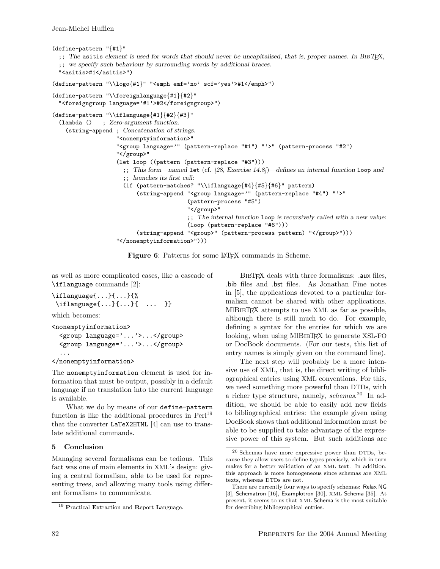```
(define-pattern "{#1}"
  ;; The asitis element is used for words that should never be uncapitalised, that is, proper names. In BIBTEX,
  ;; we specify such behaviour by surrounding words by additional braces.
  "<asitis>#1</asitis>")
(define-pattern "\\logo{#1}" "<emph emf='no' scf='yes'>#1</emph>")
(define-pattern "\\foreignlanguage{#1}{#2}"
  "<foreigngroup language='#1'>#2</foreigngroup>")
(define-pattern "\\iflanguage{#1}{#2}{#3}"
  (lambda () ; Zero-argument function.
    (string-append ; Concatenation of strings.
                    "<nonemptyinformation>"
                    "<group language='" (pattern-replace "#1") "'>" (pattern-process "#2")
                    "</group>"
                    (let loop ((pattern (pattern-replace "#3")))
                      ;; This form—named let (cf. [28, Exercise 14.8])—defines an internal function loop and
                      ;; launches its first call:
                      (if (pattern-matches? "\\iflanguage{#4}{#5}{#6}" pattern)
                          (string-append "<group language='" (pattern-replace "#4") "'>"
                                          (pattern-process "#5")
                                          "</group>"
                                          ;; The internal function loop is recursively called with a new value:
                                          (loop (pattern-replace "#6")))
                          (string-append "<group>" (pattern-process pattern) "</group>")))
                    "</nonemptyinformation>")))
```
Figure 6: Patterns for some LAT<sub>EX</sub> commands in Scheme.

as well as more complicated cases, like a cascade of \iflanguage commands [2]:

```
\iflanguage{...}{...}{%
\iflanguage{...}{...}{ ... }}
```
which becomes:

```
<nonemptyinformation>
  <group language='...'>...</group>
  <group language='...'>...</group>
  ...
```

```
</nonemptyinformation>
```
The nonemptyinformation element is used for information that must be output, possibly in a default language if no translation into the current language is available.

What we do by means of our define-pattern function is like the additional procedures in Perl<sup>19</sup> that the converter LaTeX2HTML [4] can use to translate additional commands.

## 5 Conclusion

Managing several formalisms can be tedious. This fact was one of main elements in XML's design: giving a central formalism, able to be used for representing trees, and allowing many tools using different formalisms to communicate.

BibTEX deals with three formalisms: .aux files, .bib files and .bst files. As Jonathan Fine notes in [5], the applications devoted to a particular formalism cannot be shared with other applications. MIBIBTEX attempts to use XML as far as possible, although there is still much to do. For example, defining a syntax for the entries for which we are looking, when using MIBIBTFX to generate XSL-FO or DocBook documents. (For our tests, this list of entry names is simply given on the command line).

The next step will probably be a more intensive use of XML, that is, the direct writing of bibliographical entries using XML conventions. For this, we need something more powerful than DTDs, with a richer type structure, namely, *schemas*.<sup>20</sup> In addition, we should be able to easily add new fields to bibliographical entries: the example given using DocBook shows that additional information must be able to be supplied to take advantage of the expressive power of this system. But such additions are

<sup>19</sup> Practical Extraction and Report Language.

<sup>20</sup> Schemas have more expressive power than DTDs, because they allow users to define types precisely, which in turn makes for a better validation of an XML text. In addition, this approach is more homogeneous since schemas are XML texts, whereas DTDs are not.

There are currently four ways to specify schemas: Relax NG [3], Schematron [16], Examplotron [30], XML Schema [35]. At present, it seems to us that XML Schema is the most suitable for describing bibliographical entries.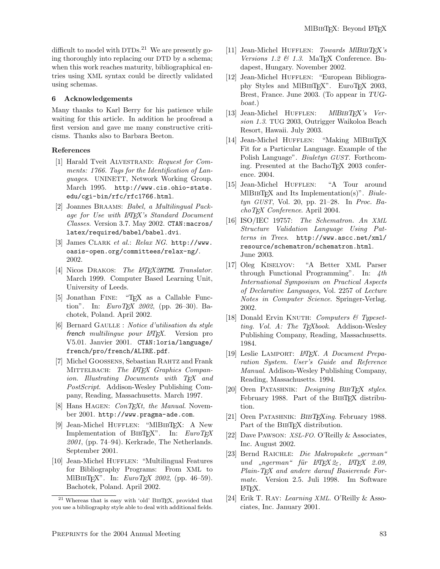difficult to model with  $DTDs<sup>21</sup>$  We are presently going thoroughly into replacing our DTD by a schema; when this work reaches maturity, bibliographical entries using XML syntax could be directly validated using schemas.

## 6 Acknowledgements

Many thanks to Karl Berry for his patience while waiting for this article. In addition he proofread a first version and gave me many constructive criticisms. Thanks also to Barbara Beeton.

### References

- [1] Harald Tveit ALVESTRAND: Request for Comments: 1766. Tags for the Identification of Languages. UNINETT, Network Working Group. March 1995. http://www.cis.ohio-state. edu/cgi-bin/rfc/rfc1766.html.
- [2] Joannes Braams: Babel, a Multilingual Package for Use with LATFX's Standard Document Classes. Version 3.7. May 2002. CTAN:macros/ latex/required/babel/babel.dvi.
- [3] James CLARK et al.: Relax NG. http://www. oasis-open.org/committees/relax-ng/. 2002.
- [4] Nicos DRAKOS: The LAT<sub>F</sub>X2HTML Translator. March 1999. Computer Based Learning Unit, University of Leeds.
- [5] Jonathan FINE: "T<sub>F</sub>X as a Callable Function". In:  $EuroT<sub>E</sub>X$  2002, (pp. 26–30). Bachotek, Poland. April 2002.
- $[6]$  Bernard GAULLE : Notice d'utilisation du style french multilingue pour L<sup>AT</sup>EX. Version pro V5.01. Janvier 2001. CTAN:loria/language/ french/pro/french/ALIRE.pdf.
- [7] Michel Goossens, Sebastian Rahtz and Frank MITTELBACH: The L<sup>AT</sup>EX Graphics Companion. Illustrating Documents with TEX and PostScript. Addison-Wesley Publishing Company, Reading, Massachusetts. March 1997.
- [8] Hans HAGEN:  $ConT<sub>E</sub>xt$ , the Manual. November 2001. http://www.pragma-ade.com.
- [9] Jean-Michel HUFFLEN: "MIBIBTEX: A New Implementation of BIBTEX". In:  $EuroTEX$ 2001, (pp. 74–94). Kerkrade, The Netherlands. September 2001.
- [10] Jean-Michel HUFFLEN: "Multilingual Features for Bibliography Programs: From XML to MlBIBTEX". In:  $EuroTEX 2002$ , (pp. 46-59). Bachotek, Poland. April 2002.
- [11] Jean-Michel HUFFLEN: Towards MlBIBTFX's Versions 1.2  $\mathcal{B}$  1.3. MaTFX Conference. Budapest, Hungary. November 2002.
- [12] Jean-Michel Hufflen: "European Bibliography Styles and MIBIBTEX". EuroTEX 2003, Brest, France. June 2003. (To appear in TUGboat.)
- [13] Jean-Michel HUFFLEN: MIBIBT<sub>F</sub>X's Version 1.3. TUG 2003, Outrigger Waikoloa Beach Resort, Hawaii. July 2003.
- [14] Jean-Michel HUFFLEN: "Making MlBIBTFX Fit for a Particular Language. Example of the Polish Language". Biuletyn GUST. Forthcoming. Presented at the BachoTEX 2003 conference. 2004.
- [15] Jean-Michel HUFFLEN: "A Tour around MlBIBT<sub>EX</sub> and Its Implementation(s)". Biuletyn GUST, Vol. 20, pp. 21–28. In Proc. BachoTEX Conference. April 2004.
- [16] ISO/IEC 19757: The Schematron. An XML Structure Validation Language Using Patterns in Trees. http://www.ascc.net/xml/ resource/schematron/schematron.html. June 2003.
- [17] Oleg Kiselyov: "A Better XML Parser through Functional Programming". In: 4th International Symposium on Practical Aspects of Declarative Languages, Vol. 2257 of Lecture Notes in Computer Science. Springer-Verlag. 2002.
- [18] Donald Ervin KNUTH: Computers  $\mathcal C$  Typesetting. Vol. A: The T<sub>E</sub>Xbook. Addison-Wesley Publishing Company, Reading, Massachusetts. 1984.
- [19] Leslie LAMPORT: L<sup>A</sup>T<sub>F</sub>X. A Document Preparation System. User's Guide and Reference Manual. Addison-Wesley Publishing Company, Reading, Massachusetts. 1994.
- [20] Oren PATASHNIK: Designing BIBTFX styles. February 1988. Part of the BIBTEX distribution.
- [21] Oren PATASHNIK: BIBTEXing. February 1988. Part of the BIBT<sub>EX</sub> distribution.
- [22] Dave PAWSON: XSL-FO. O'Reilly & Associates, Inc. August 2002.
- [23] Bernd RAICHLE: *Die Makropakete "german"*<br>  $f_{\text{max}} = M_{\text{max}} \times 2.6 \times 10^{10} \text{ N/m} \times 2.00 \times 10^{10} \text{ N/m} \times 2.00 \times 10^{10} \text{ N/m} \times 2.00 \times 10^{10} \text{ N/m} \times 10^{10} \text{ N/m} \times 10^{10} \text{ N/m} \times 10^{10} \text{ N/m} \times 10^{10} \text{ N/m} \times 10^{10} \$ und "ngerman" für L<sup>2</sup>TEX 2 $\varepsilon$ , L<sup>2</sup>TEX 2.09, Plain-T<sub>E</sub>X and andere darauf Basierende Formate. Version 2.5. Juli 1998. Im Software LATEX.
- [24] Erik T. Ray: Learning XML. O'Reilly & Associates, Inc. January 2001.

<sup>&</sup>lt;sup>21</sup> Whereas that is easy with 'old' BIBTEX, provided that you use a bibliography style able to deal with additional fields.